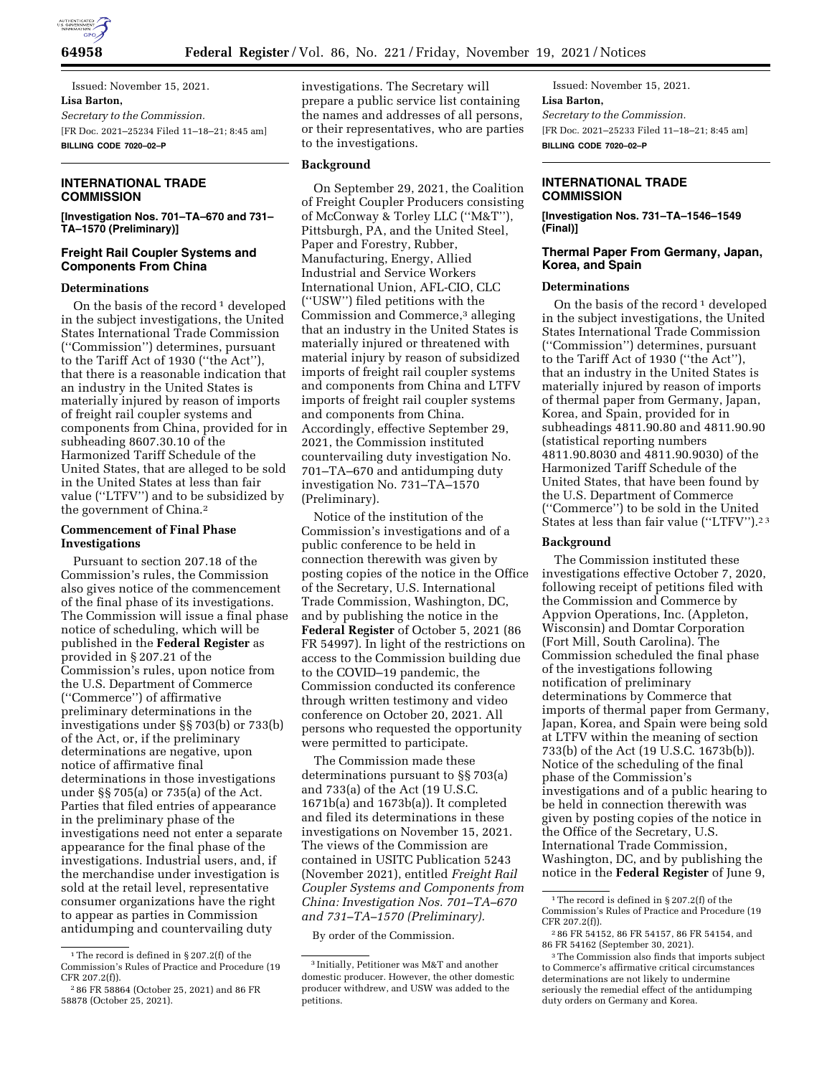

Issued: November 15, 2021. **Lisa Barton,**  *Secretary to the Commission.*  [FR Doc. 2021–25234 Filed 11–18–21; 8:45 am] **BILLING CODE 7020–02–P** 

# **INTERNATIONAL TRADE COMMISSION**

**[Investigation Nos. 701–TA–670 and 731– TA–1570 (Preliminary)]** 

# **Freight Rail Coupler Systems and Components From China**

## **Determinations**

On the basis of the record<sup>1</sup> developed in the subject investigations, the United States International Trade Commission (''Commission'') determines, pursuant to the Tariff Act of 1930 (''the Act''), that there is a reasonable indication that an industry in the United States is materially injured by reason of imports of freight rail coupler systems and components from China, provided for in subheading 8607.30.10 of the Harmonized Tariff Schedule of the United States, that are alleged to be sold in the United States at less than fair value (''LTFV'') and to be subsidized by the government of China.2

## **Commencement of Final Phase Investigations**

Pursuant to section 207.18 of the Commission's rules, the Commission also gives notice of the commencement of the final phase of its investigations. The Commission will issue a final phase notice of scheduling, which will be published in the **Federal Register** as provided in § 207.21 of the Commission's rules, upon notice from the U.S. Department of Commerce (''Commerce'') of affirmative preliminary determinations in the investigations under §§ 703(b) or 733(b) of the Act, or, if the preliminary determinations are negative, upon notice of affirmative final determinations in those investigations under §§ 705(a) or 735(a) of the Act. Parties that filed entries of appearance in the preliminary phase of the investigations need not enter a separate appearance for the final phase of the investigations. Industrial users, and, if the merchandise under investigation is sold at the retail level, representative consumer organizations have the right to appear as parties in Commission antidumping and countervailing duty

investigations. The Secretary will prepare a public service list containing the names and addresses of all persons, or their representatives, who are parties to the investigations.

## **Background**

On September 29, 2021, the Coalition of Freight Coupler Producers consisting of McConway & Torley LLC (''M&T''), Pittsburgh, PA, and the United Steel, Paper and Forestry, Rubber, Manufacturing, Energy, Allied Industrial and Service Workers International Union, AFL-CIO, CLC (''USW'') filed petitions with the Commission and Commerce,3 alleging that an industry in the United States is materially injured or threatened with material injury by reason of subsidized imports of freight rail coupler systems and components from China and LTFV imports of freight rail coupler systems and components from China. Accordingly, effective September 29, 2021, the Commission instituted countervailing duty investigation No. 701–TA–670 and antidumping duty investigation No. 731–TA–1570 (Preliminary).

Notice of the institution of the Commission's investigations and of a public conference to be held in connection therewith was given by posting copies of the notice in the Office of the Secretary, U.S. International Trade Commission, Washington, DC, and by publishing the notice in the **Federal Register** of October 5, 2021 (86 FR 54997). In light of the restrictions on access to the Commission building due to the COVID–19 pandemic, the Commission conducted its conference through written testimony and video conference on October 20, 2021. All persons who requested the opportunity were permitted to participate.

The Commission made these determinations pursuant to §§ 703(a) and 733(a) of the Act (19 U.S.C. 1671b(a) and 1673b(a)). It completed and filed its determinations in these investigations on November 15, 2021. The views of the Commission are contained in USITC Publication 5243 (November 2021), entitled *Freight Rail Coupler Systems and Components from China: Investigation Nos. 701–TA–670 and 731–TA–1570 (Preliminary).* 

By order of the Commission.

Issued: November 15, 2021. **Lisa Barton,**  *Secretary to the Commission.*  [FR Doc. 2021–25233 Filed 11–18–21; 8:45 am] **BILLING CODE 7020–02–P** 

## **INTERNATIONAL TRADE COMMISSION**

**[Investigation Nos. 731–TA–1546–1549 (Final)]** 

## **Thermal Paper From Germany, Japan, Korea, and Spain**

## **Determinations**

On the basis of the record<sup>1</sup> developed in the subject investigations, the United States International Trade Commission (''Commission'') determines, pursuant to the Tariff Act of 1930 (''the Act''), that an industry in the United States is materially injured by reason of imports of thermal paper from Germany, Japan, Korea, and Spain, provided for in subheadings 4811.90.80 and 4811.90.90 (statistical reporting numbers 4811.90.8030 and 4811.90.9030) of the Harmonized Tariff Schedule of the United States, that have been found by the U.S. Department of Commerce (''Commerce'') to be sold in the United States at less than fair value (''LTFV'').2 3

#### **Background**

The Commission instituted these investigations effective October 7, 2020, following receipt of petitions filed with the Commission and Commerce by Appvion Operations, Inc. (Appleton, Wisconsin) and Domtar Corporation (Fort Mill, South Carolina). The Commission scheduled the final phase of the investigations following notification of preliminary determinations by Commerce that imports of thermal paper from Germany, Japan, Korea, and Spain were being sold at LTFV within the meaning of section 733(b) of the Act (19 U.S.C. 1673b(b)). Notice of the scheduling of the final phase of the Commission's investigations and of a public hearing to be held in connection therewith was given by posting copies of the notice in the Office of the Secretary, U.S. International Trade Commission, Washington, DC, and by publishing the notice in the **Federal Register** of June 9,

<sup>1</sup>The record is defined in § 207.2(f) of the Commission's Rules of Practice and Procedure (19 CFR 207.2(f)).

<sup>2</sup> 86 FR 58864 (October 25, 2021) and 86 FR 58878 (October 25, 2021).

<sup>3</sup> Initially, Petitioner was M&T and another domestic producer. However, the other domestic producer withdrew, and USW was added to the petitions.

<sup>1</sup>The record is defined in § 207.2(f) of the Commission's Rules of Practice and Procedure (19 CFR 207.2(f)).

<sup>2</sup> 86 FR 54152, 86 FR 54157, 86 FR 54154, and 86 FR 54162 (September 30, 2021).

<sup>3</sup>The Commission also finds that imports subject to Commerce's affirmative critical circumstances determinations are not likely to undermine seriously the remedial effect of the antidumping duty orders on Germany and Korea.